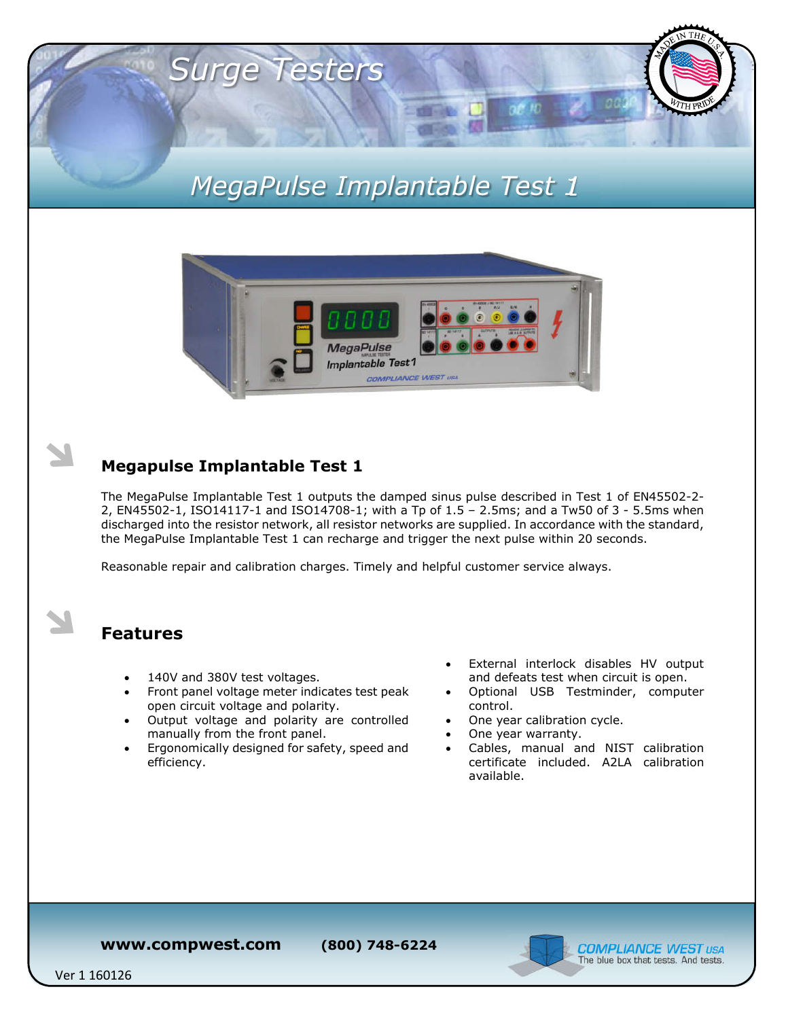# *MegaPulse Implantable Test 1*



### **Megapulse Implantable Test 1**

*Surge Testers*

The MegaPulse Implantable Test 1 outputs the damped sinus pulse described in Test 1 of EN45502-2- 2, EN45502-1, ISO14117-1 and ISO14708-1; with a Tp of 1.5 – 2.5ms; and a Tw50 of 3 - 5.5ms when discharged into the resistor network, all resistor networks are supplied. In accordance with the standard, the MegaPulse Implantable Test 1 can recharge and trigger the next pulse within 20 seconds.

Reasonable repair and calibration charges. Timely and helpful customer service always.

### **Features**

- 140V and 380V test voltages.
- Front panel voltage meter indicates test peak open circuit voltage and polarity.
- Output voltage and polarity are controlled manually from the front panel.
- Ergonomically designed for safety, speed and efficiency.
- External interlock disables HV output and defeats test when circuit is open.
- Optional USB Testminder, computer control.
- One year calibration cycle.
- One year warranty.
- Cables, manual and NIST calibration certificate included. A2LA calibration available.

**www.compwest.com (800) 748-6224**